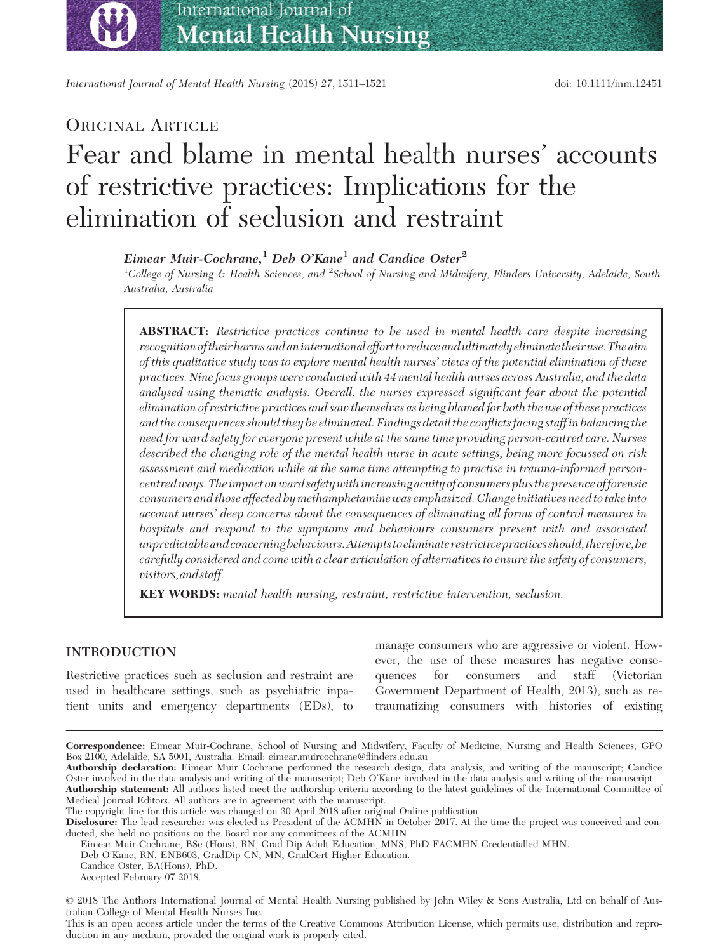bs\_bs\_banner

International Journal of Mental Health Nursing (2018) 27, 1511–1521 doi: 10.1111/inm.12451

# ORIGINAL ARTICLE Fear and blame in mental health nurses' accounts of restrictive practices: Implications for the elimination of seclusion and restraint

Eimear Muir-Cochrane,<sup>1</sup> Deb O'Kane<sup>1</sup> and Candice Oster<sup>2</sup>

 $^1$ College of Nursing  $\uplus$  Health Sciences, and  $^2$ School of Nursing and Midwifery, Flinders University, Adelaide, South Australia, Australia

**ABSTRACT:** Restrictive practices continue to be used in mental health care despite increasing recognition of their harms and an international effort to reduce and ultimately eliminate their use. The aim of this qualitative study was to explore mental health nurses' views of the potential elimination of these practices. Nine focus groups were conducted with 44 mental health nurses across Australia, and the data analysed using thematic analysis. Overall, the nurses expressed significant fear about the potential elimination of restrictive practices and saw themselves as being blamed for both the use of these practices and the consequences should they be eliminated. Findings detail the conflicts facing staff in balancing the need for ward safety for everyone present while at the same time providing person-centred care. Nurses described the changing role of the mental health nurse in acute settings, being more focussed on risk assessment and medication while at the same time attempting to practise in trauma-informed personcentredways. Theimpacton ward safety withincreasingacuity of consumers plus the presenceofforensic consumers and those affected by methamphetamine was emphasized. Change initiatives need to take into account nurses' deep concerns about the consequences of eliminating all forms of control measures in hospitals and respond to the symptoms and behaviours consumers present with and associated unpredictableandconcerningbehaviours.Attempts toeliminaterestrictivepractices should, therefore,be carefully considered and come with a clear articulation of alternatives to ensure the safety of consumers, visitors,andstaff.

KEY WORDS: mental health nursing, restraint, restrictive intervention, seclusion.

# INTRODUCTION

Restrictive practices such as seclusion and restraint are used in healthcare settings, such as psychiatric inpatient units and emergency departments (EDs), to manage consumers who are aggressive or violent. However, the use of these measures has negative consequences for consumers and staff (Victorian Government Department of Health, 2013), such as retraumatizing consumers with histories of existing

Authorship declaration: Eimear Muir Cochrane performed the research design, data analysis, and writing of the manuscript; Candice Oster involved in the data analysis and writing of the manuscript; Deb O'Kane involved in the data analysis and writing of the manuscript.

Deb O'Kane, RN, ENB603, GradDip CN, MN, GradCert Higher Education.

This is an open access article under the terms of the [Creative Commons Attribution](http://creativecommons.org/licenses/by/4.0/) License, which permits use, distribution and reproduction in any medium, provided the original work is properly cited.

Correspondence: Eimear Muir-Cochrane, School of Nursing and Midwifery, Faculty of Medicine, Nursing and Health Sciences, GPO Box 2100, Adelaide, SA 5001, Australia. Email: eimear.muircochrane@flinders.edu.au

Authorship statement: All authors listed meet the authorship criteria according to the latest guidelines of the International Committee of Medical Journal Editors. All authors are in agreement with the manuscript.

The copyright line for this article was changed on 30 April 2018 after original Online publication

Disclosure: The lead researcher was elected as President of the ACMHN in October 2017. At the time the project was conceived and conducted, she held no positions on the Board nor any committees of the ACMHN.

Eimear Muir-Cochrane, BSc (Hons), RN, Grad Dip Adult Education, MNS, PhD FACMHN Credentialled MHN.

Candice Oster, BA(Hons), PhD.

Accepted February 07 2018.

<sup>©</sup> 2018 The Authors International Journal of Mental Health Nursing published by John Wiley & Sons Australia, Ltd on behalf of Australian College of Mental Health Nurses Inc.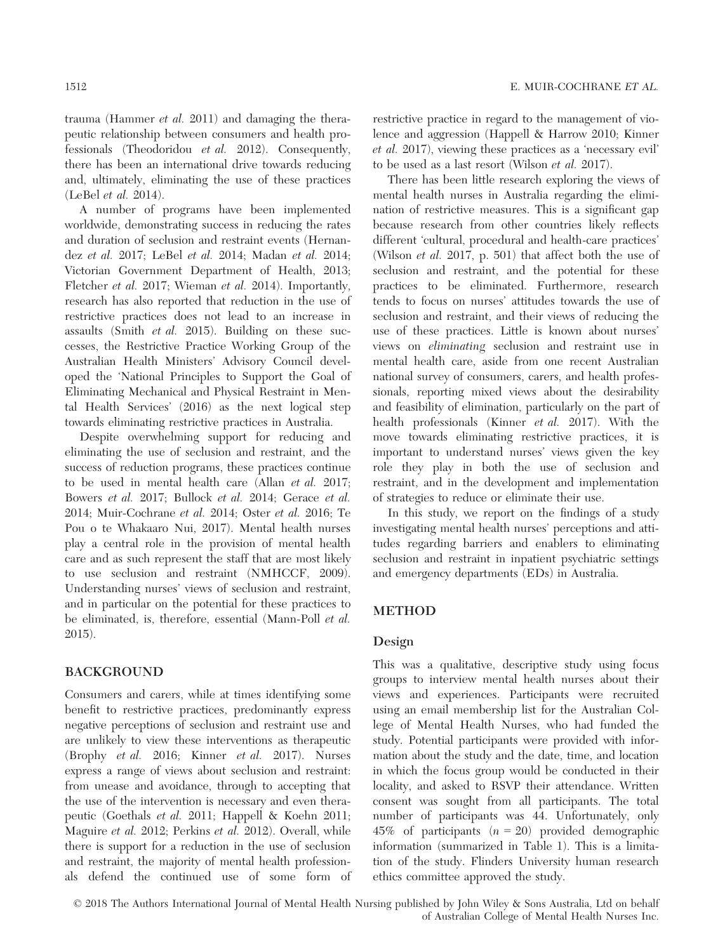trauma (Hammer et al. 2011) and damaging the therapeutic relationship between consumers and health professionals (Theodoridou et al. 2012). Consequently, there has been an international drive towards reducing and, ultimately, eliminating the use of these practices (LeBel et al. 2014).

A number of programs have been implemented worldwide, demonstrating success in reducing the rates and duration of seclusion and restraint events (Hernandez et al. 2017; LeBel et al. 2014; Madan et al. 2014; Victorian Government Department of Health, 2013; Fletcher et al. 2017; Wieman et al. 2014). Importantly, research has also reported that reduction in the use of restrictive practices does not lead to an increase in assaults (Smith et al. 2015). Building on these successes, the Restrictive Practice Working Group of the Australian Health Ministers' Advisory Council developed the 'National Principles to Support the Goal of Eliminating Mechanical and Physical Restraint in Mental Health Services' (2016) as the next logical step towards eliminating restrictive practices in Australia.

Despite overwhelming support for reducing and eliminating the use of seclusion and restraint, and the success of reduction programs, these practices continue to be used in mental health care (Allan et al. 2017; Bowers et al. 2017; Bullock et al. 2014; Gerace et al. 2014; Muir-Cochrane et al. 2014; Oster et al. 2016; Te Pou o te Whakaaro Nui, 2017). Mental health nurses play a central role in the provision of mental health care and as such represent the staff that are most likely to use seclusion and restraint (NMHCCF, 2009). Understanding nurses' views of seclusion and restraint, and in particular on the potential for these practices to be eliminated, is, therefore, essential (Mann-Poll et al. 2015).

# BACKGROUND

Consumers and carers, while at times identifying some benefit to restrictive practices, predominantly express negative perceptions of seclusion and restraint use and are unlikely to view these interventions as therapeutic (Brophy et al. 2016; Kinner et al. 2017). Nurses express a range of views about seclusion and restraint: from unease and avoidance, through to accepting that the use of the intervention is necessary and even therapeutic (Goethals et al. 2011; Happell & Koehn 2011; Maguire et al. 2012; Perkins et al. 2012). Overall, while there is support for a reduction in the use of seclusion and restraint, the majority of mental health professionals defend the continued use of some form of

restrictive practice in regard to the management of violence and aggression (Happell & Harrow 2010; Kinner et al. 2017), viewing these practices as a 'necessary evil' to be used as a last resort (Wilson et al. 2017).

There has been little research exploring the views of mental health nurses in Australia regarding the elimination of restrictive measures. This is a significant gap because research from other countries likely reflects different 'cultural, procedural and health-care practices' (Wilson et al. 2017, p. 501) that affect both the use of seclusion and restraint, and the potential for these practices to be eliminated. Furthermore, research tends to focus on nurses' attitudes towards the use of seclusion and restraint, and their views of reducing the use of these practices. Little is known about nurses' views on eliminating seclusion and restraint use in mental health care, aside from one recent Australian national survey of consumers, carers, and health professionals, reporting mixed views about the desirability and feasibility of elimination, particularly on the part of health professionals (Kinner et al. 2017). With the move towards eliminating restrictive practices, it is important to understand nurses' views given the key role they play in both the use of seclusion and restraint, and in the development and implementation of strategies to reduce or eliminate their use.

In this study, we report on the findings of a study investigating mental health nurses' perceptions and attitudes regarding barriers and enablers to eliminating seclusion and restraint in inpatient psychiatric settings and emergency departments (EDs) in Australia.

## METHOD

### Design

This was a qualitative, descriptive study using focus groups to interview mental health nurses about their views and experiences. Participants were recruited using an email membership list for the Australian College of Mental Health Nurses, who had funded the study. Potential participants were provided with information about the study and the date, time, and location in which the focus group would be conducted in their locality, and asked to RSVP their attendance. Written consent was sought from all participants. The total number of participants was 44. Unfortunately, only 45% of participants  $(n = 20)$  provided demographic information (summarized in Table 1). This is a limitation of the study. Flinders University human research ethics committee approved the study.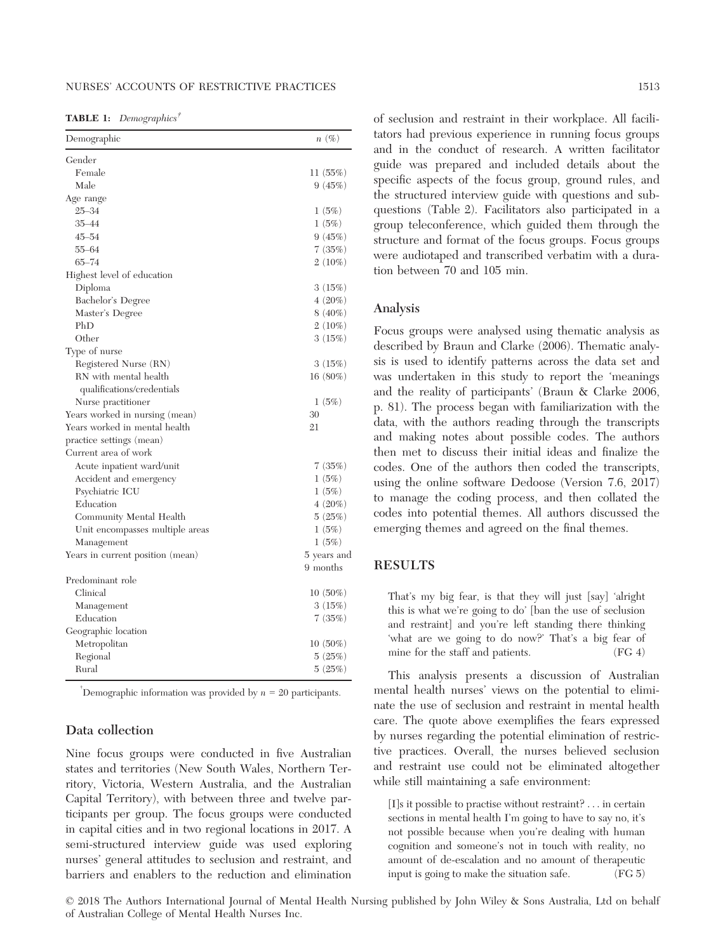|  | <b>TABLE 1:</b> Demographics <sup>†</sup> |
|--|-------------------------------------------|
|--|-------------------------------------------|

| Demographic                      | $n(\%)$     |
|----------------------------------|-------------|
| Gender                           |             |
| Female                           | 11(55%)     |
| Male                             | 9(45%)      |
| Age range                        |             |
| $25 - 34$                        | 1(5%)       |
| $35 - 44$                        | 1(5%)       |
| $45 - 54$                        | 9(45%)      |
| $55 - 64$                        | 7(35%)      |
| $65 - 74$                        | $2(10\%)$   |
| Highest level of education       |             |
| Diploma                          | 3(15%)      |
| Bachelor's Degree                | $4(20\%)$   |
| Master's Degree                  | $8(40\%)$   |
| PhD                              | $2(10\%)$   |
| Other                            | 3(15%)      |
| Type of nurse                    |             |
| Registered Nurse (RN)            | 3(15%)      |
| RN with mental health            | $16(80\%)$  |
| qualifications/credentials       |             |
| Nurse practitioner               | 1(5%)       |
| Years worked in nursing (mean)   | 30          |
| Years worked in mental health    | 21          |
| practice settings (mean)         |             |
| Current area of work             |             |
| Acute inpatient ward/unit        | 7(35%)      |
| Accident and emergency           | 1(5%)       |
| Psychiatric ICU                  | 1(5%)       |
| Education                        | $4(20\%)$   |
| Community Mental Health          | 5(25%)      |
| Unit encompasses multiple areas  | 1(5%)       |
| Management                       | 1(5%)       |
| Years in current position (mean) | 5 years and |
|                                  | 9 months    |
| Predominant role                 |             |
| Clinical                         | $10(50\%)$  |
| Management                       | 3(15%)      |
| Education                        | 7(35%)      |
| Geographic location              |             |
| Metropolitan                     | $10(50\%)$  |
| Regional                         | 5(25%)      |
| Rural                            | 5(25%)      |

<sup>†</sup>Demographic information was provided by  $n = 20$  participants.

#### Data collection

Nine focus groups were conducted in five Australian states and territories (New South Wales, Northern Territory, Victoria, Western Australia, and the Australian Capital Territory), with between three and twelve participants per group. The focus groups were conducted in capital cities and in two regional locations in 2017. A semi-structured interview guide was used exploring nurses' general attitudes to seclusion and restraint, and barriers and enablers to the reduction and elimination

of seclusion and restraint in their workplace. All facilitators had previous experience in running focus groups and in the conduct of research. A written facilitator guide was prepared and included details about the specific aspects of the focus group, ground rules, and the structured interview guide with questions and subquestions (Table 2). Facilitators also participated in a group teleconference, which guided them through the structure and format of the focus groups. Focus groups were audiotaped and transcribed verbatim with a duration between 70 and 105 min.

#### Analysis

Focus groups were analysed using thematic analysis as described by Braun and Clarke (2006). Thematic analysis is used to identify patterns across the data set and was undertaken in this study to report the 'meanings and the reality of participants' (Braun & Clarke 2006, p. 81). The process began with familiarization with the data, with the authors reading through the transcripts and making notes about possible codes. The authors then met to discuss their initial ideas and finalize the codes. One of the authors then coded the transcripts, using the online software Dedoose (Version 7.6, 2017) to manage the coding process, and then collated the codes into potential themes. All authors discussed the emerging themes and agreed on the final themes.

# RESULTS

That's my big fear, is that they will just [say] 'alright this is what we're going to do' [ban the use of seclusion and restraint] and you're left standing there thinking 'what are we going to do now?' That's a big fear of mine for the staff and patients. (FG 4)

This analysis presents a discussion of Australian mental health nurses' views on the potential to eliminate the use of seclusion and restraint in mental health care. The quote above exemplifies the fears expressed by nurses regarding the potential elimination of restrictive practices. Overall, the nurses believed seclusion and restraint use could not be eliminated altogether while still maintaining a safe environment:

[I]s it possible to practise without restraint? ... in certain sections in mental health I'm going to have to say no, it's not possible because when you're dealing with human cognition and someone's not in touch with reality, no amount of de-escalation and no amount of therapeutic input is going to make the situation safe. (FG 5)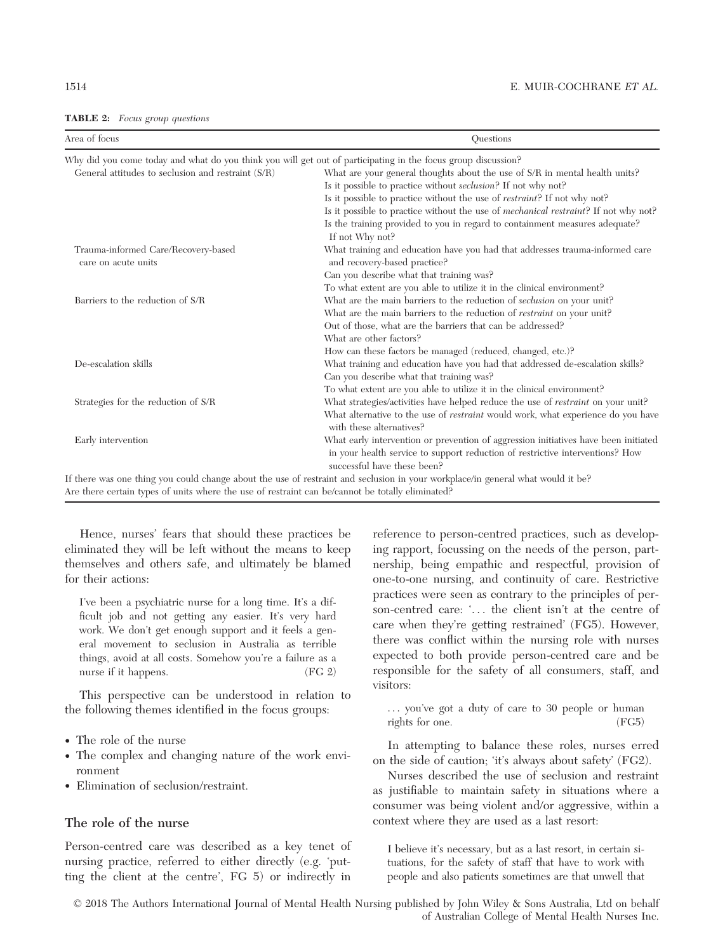#### 1514 E. MUIR-COCHRANE ET AL.

| <b>TABLE 2:</b> Focus group questions |  |  |  |
|---------------------------------------|--|--|--|
|---------------------------------------|--|--|--|

| Area of focus                                                                                                 | Questions                                                                                                                       |  |  |
|---------------------------------------------------------------------------------------------------------------|---------------------------------------------------------------------------------------------------------------------------------|--|--|
| Why did you come today and what do you think you will get out of participating in the focus group discussion? |                                                                                                                                 |  |  |
| General attitudes to seclusion and restraint (S/R)                                                            | What are your general thoughts about the use of S/R in mental health units?                                                     |  |  |
|                                                                                                               | Is it possible to practice without seclusion? If not why not?                                                                   |  |  |
|                                                                                                               | Is it possible to practice without the use of <i>restraint</i> ? If not why not?                                                |  |  |
|                                                                                                               | Is it possible to practice without the use of <i>mechanical restraint</i> ? If not why not?                                     |  |  |
|                                                                                                               | Is the training provided to you in regard to containment measures adequate?<br>If not Why not?                                  |  |  |
| Trauma-informed Care/Recovery-based                                                                           | What training and education have you had that addresses trauma-informed care                                                    |  |  |
| care on acute units                                                                                           | and recovery-based practice?                                                                                                    |  |  |
|                                                                                                               | Can you describe what that training was?                                                                                        |  |  |
|                                                                                                               | To what extent are you able to utilize it in the clinical environment?                                                          |  |  |
| Barriers to the reduction of S/R                                                                              | What are the main barriers to the reduction of seclusion on your unit?                                                          |  |  |
|                                                                                                               | What are the main barriers to the reduction of <i>restraint</i> on your unit?                                                   |  |  |
|                                                                                                               | Out of those, what are the barriers that can be addressed?                                                                      |  |  |
|                                                                                                               | What are other factors?                                                                                                         |  |  |
|                                                                                                               | How can these factors be managed (reduced, changed, etc.)?                                                                      |  |  |
| De-escalation skills                                                                                          | What training and education have you had that addressed de-escalation skills?                                                   |  |  |
|                                                                                                               | Can you describe what that training was?                                                                                        |  |  |
|                                                                                                               | To what extent are you able to utilize it in the clinical environment?                                                          |  |  |
| Strategies for the reduction of S/R                                                                           | What strategies/activities have helped reduce the use of <i>restraint</i> on your unit?                                         |  |  |
|                                                                                                               | What alternative to the use of <i>restraint</i> would work, what experience do you have<br>with these alternatives?             |  |  |
| Early intervention                                                                                            | What early intervention or prevention of aggression initiatives have been initiated                                             |  |  |
|                                                                                                               | in your health service to support reduction of restrictive interventions? How                                                   |  |  |
|                                                                                                               | successful have these been?                                                                                                     |  |  |
|                                                                                                               | If there was one thing you could change about the use of restraint and seclusion in your workplace/in general what would it be? |  |  |

Are there certain types of units where the use of restraint can be/cannot be totally eliminated?

Hence, nurses' fears that should these practices be eliminated they will be left without the means to keep themselves and others safe, and ultimately be blamed for their actions:

I've been a psychiatric nurse for a long time. It's a difficult job and not getting any easier. It's very hard work. We don't get enough support and it feels a general movement to seclusion in Australia as terrible things, avoid at all costs. Somehow you're a failure as a nurse if it happens. (FG 2)

This perspective can be understood in relation to the following themes identified in the focus groups:

- The role of the nurse
- The complex and changing nature of the work environment
- Elimination of seclusion/restraint.

# The role of the nurse

Person-centred care was described as a key tenet of nursing practice, referred to either directly (e.g. 'putting the client at the centre', FG 5) or indirectly in

reference to person-centred practices, such as developing rapport, focussing on the needs of the person, partnership, being empathic and respectful, provision of one-to-one nursing, and continuity of care. Restrictive practices were seen as contrary to the principles of person-centred care: '... the client isn't at the centre of care when they're getting restrained' (FG5). However, there was conflict within the nursing role with nurses expected to both provide person-centred care and be responsible for the safety of all consumers, staff, and visitors:

... you've got a duty of care to 30 people or human rights for one. (FG5)

In attempting to balance these roles, nurses erred on the side of caution; 'it's always about safety' (FG2).

Nurses described the use of seclusion and restraint as justifiable to maintain safety in situations where a consumer was being violent and/or aggressive, within a context where they are used as a last resort:

I believe it's necessary, but as a last resort, in certain situations, for the safety of staff that have to work with people and also patients sometimes are that unwell that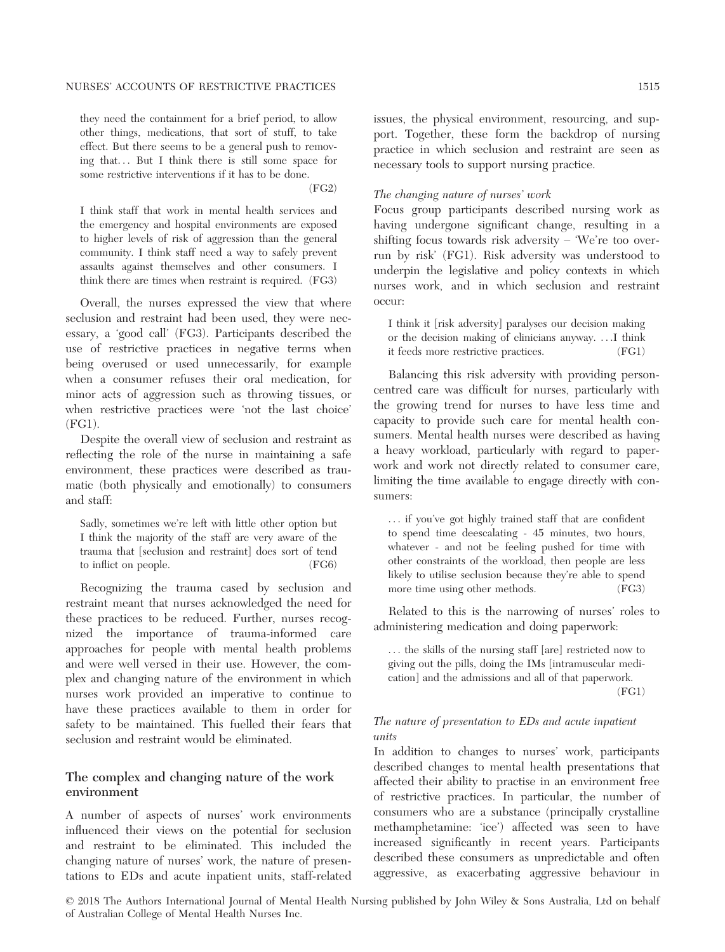#### NURSES' ACCOUNTS OF RESTRICTIVE PRACTICES 1515

they need the containment for a brief period, to allow other things, medications, that sort of stuff, to take effect. But there seems to be a general push to removing that... But I think there is still some space for some restrictive interventions if it has to be done.

 $(FG2)$ 

I think staff that work in mental health services and the emergency and hospital environments are exposed to higher levels of risk of aggression than the general community. I think staff need a way to safely prevent assaults against themselves and other consumers. I think there are times when restraint is required. (FG3)

Overall, the nurses expressed the view that where seclusion and restraint had been used, they were necessary, a 'good call' (FG3). Participants described the use of restrictive practices in negative terms when being overused or used unnecessarily, for example when a consumer refuses their oral medication, for minor acts of aggression such as throwing tissues, or when restrictive practices were 'not the last choice' (FG1).

Despite the overall view of seclusion and restraint as reflecting the role of the nurse in maintaining a safe environment, these practices were described as traumatic (both physically and emotionally) to consumers and staff:

Sadly, sometimes we're left with little other option but I think the majority of the staff are very aware of the trauma that [seclusion and restraint] does sort of tend to inflict on people. (FG6)

Recognizing the trauma cased by seclusion and restraint meant that nurses acknowledged the need for these practices to be reduced. Further, nurses recognized the importance of trauma-informed care approaches for people with mental health problems and were well versed in their use. However, the complex and changing nature of the environment in which nurses work provided an imperative to continue to have these practices available to them in order for safety to be maintained. This fuelled their fears that seclusion and restraint would be eliminated.

# The complex and changing nature of the work environment

A number of aspects of nurses' work environments influenced their views on the potential for seclusion and restraint to be eliminated. This included the changing nature of nurses' work, the nature of presentations to EDs and acute inpatient units, staff-related

issues, the physical environment, resourcing, and support. Together, these form the backdrop of nursing practice in which seclusion and restraint are seen as necessary tools to support nursing practice.

# The changing nature of nurses' work

Focus group participants described nursing work as having undergone significant change, resulting in a shifting focus towards risk adversity – 'We're too overrun by risk' (FG1). Risk adversity was understood to underpin the legislative and policy contexts in which nurses work, and in which seclusion and restraint occur:

I think it [risk adversity] paralyses our decision making or the decision making of clinicians anyway. ...I think it feeds more restrictive practices. (FG1)

Balancing this risk adversity with providing personcentred care was difficult for nurses, particularly with the growing trend for nurses to have less time and capacity to provide such care for mental health consumers. Mental health nurses were described as having a heavy workload, particularly with regard to paperwork and work not directly related to consumer care, limiting the time available to engage directly with consumers:

... if you've got highly trained staff that are confident to spend time deescalating - 45 minutes, two hours, whatever - and not be feeling pushed for time with other constraints of the workload, then people are less likely to utilise seclusion because they're able to spend more time using other methods. (FG3)

Related to this is the narrowing of nurses' roles to administering medication and doing paperwork:

... the skills of the nursing staff [are] restricted now to giving out the pills, doing the IMs [intramuscular medication] and the admissions and all of that paperwork.  $(FG1)$ 

# The nature of presentation to EDs and acute inpatient units

In addition to changes to nurses' work, participants described changes to mental health presentations that affected their ability to practise in an environment free of restrictive practices. In particular, the number of consumers who are a substance (principally crystalline methamphetamine: 'ice') affected was seen to have increased significantly in recent years. Participants described these consumers as unpredictable and often aggressive, as exacerbating aggressive behaviour in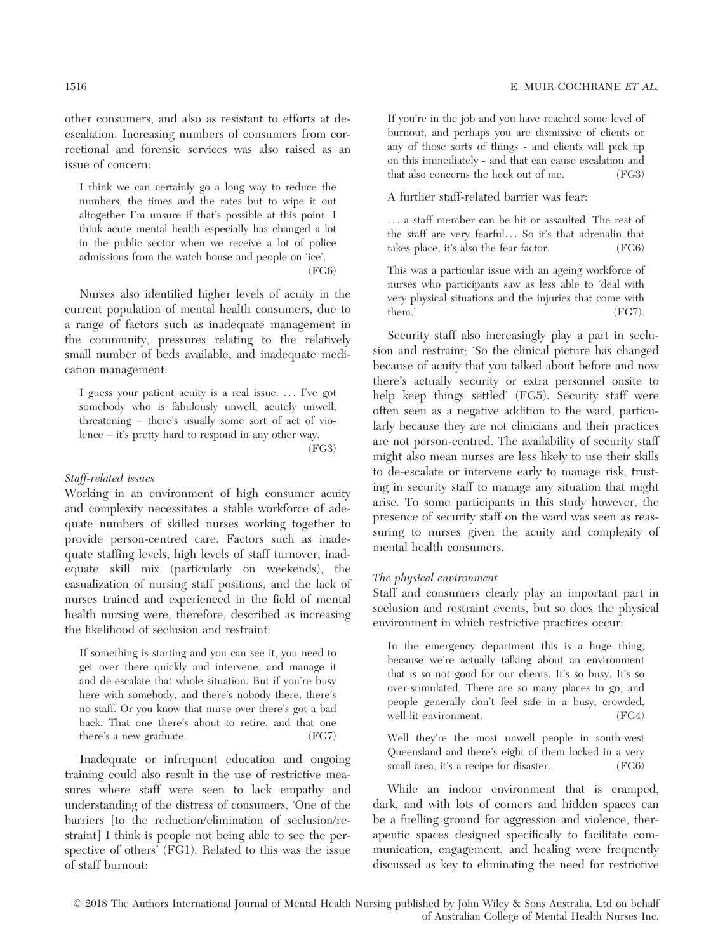other consumers, and also as resistant to efforts at deescalation. Increasing numbers of consumers from correctional and forensic services was also raised as an issue of concern:

I think we can certainly go a long way to reduce the numbers, the times and the rates but to wipe it out altogether I'm unsure if that's possible at this point. I think acute mental health especially has changed a lot in the public sector when we receive a lot of police admissions from the watch-house and people on 'ice'.  $(FG6)$ 

Nurses also identified higher levels of acuity in the current population of mental health consumers, due to a range of factors such as inadequate management in the community, pressures relating to the relatively small number of beds available, and inadequate medication management:

I guess your patient acuity is a real issue. ... I've got somebody who is fabulously unwell, acutely unwell, threatening – there's usually some sort of act of violence – it's pretty hard to respond in any other way. (FG3)

#### Staff-related issues

Working in an environment of high consumer acuity and complexity necessitates a stable workforce of adequate numbers of skilled nurses working together to provide person-centred care. Factors such as inadequate staffing levels, high levels of staff turnover, inadequate skill mix (particularly on weekends), the casualization of nursing staff positions, and the lack of nurses trained and experienced in the field of mental health nursing were, therefore, described as increasing the likelihood of seclusion and restraint:

If something is starting and you can see it, you need to get over there quickly and intervene, and manage it and de-escalate that whole situation. But if you're busy here with somebody, and there's nobody there, there's no staff. Or you know that nurse over there's got a bad back. That one there's about to retire, and that one there's a new graduate. (FG7)

Inadequate or infrequent education and ongoing training could also result in the use of restrictive measures where staff were seen to lack empathy and understanding of the distress of consumers, 'One of the barriers [to the reduction/elimination of seclusion/restraint] I think is people not being able to see the perspective of others' (FG1). Related to this was the issue of staff burnout:

If you're in the job and you have reached some level of burnout, and perhaps you are dismissive of clients or any of those sorts of things - and clients will pick up on this immediately - and that can cause escalation and that also concerns the heck out of me. (FG3)

A further staff-related barrier was fear:

... a staff member can be hit or assaulted. The rest of the staff are very fearful... So it's that adrenalin that takes place, it's also the fear factor. (FG6)

This was a particular issue with an ageing workforce of nurses who participants saw as less able to 'deal with very physical situations and the injuries that come with  $them.'$  (FG7).

Security staff also increasingly play a part in seclusion and restraint; 'So the clinical picture has changed because of acuity that you talked about before and now there's actually security or extra personnel onsite to help keep things settled' (FG5). Security staff were often seen as a negative addition to the ward, particularly because they are not clinicians and their practices are not person-centred. The availability of security staff might also mean nurses are less likely to use their skills to de-escalate or intervene early to manage risk, trusting in security staff to manage any situation that might arise. To some participants in this study however, the presence of security staff on the ward was seen as reassuring to nurses given the acuity and complexity of mental health consumers.

### The physical environment

Staff and consumers clearly play an important part in seclusion and restraint events, but so does the physical environment in which restrictive practices occur:

In the emergency department this is a huge thing, because we're actually talking about an environment that is so not good for our clients. It's so busy. It's so over-stimulated. There are so many places to go, and people generally don't feel safe in a busy, crowded, well-lit environment. (FG4)

Well they're the most unwell people in south-west Queensland and there's eight of them locked in a very small area, it's a recipe for disaster. (FG6)

While an indoor environment that is cramped, dark, and with lots of corners and hidden spaces can be a fuelling ground for aggression and violence, therapeutic spaces designed specifically to facilitate communication, engagement, and healing were frequently discussed as key to eliminating the need for restrictive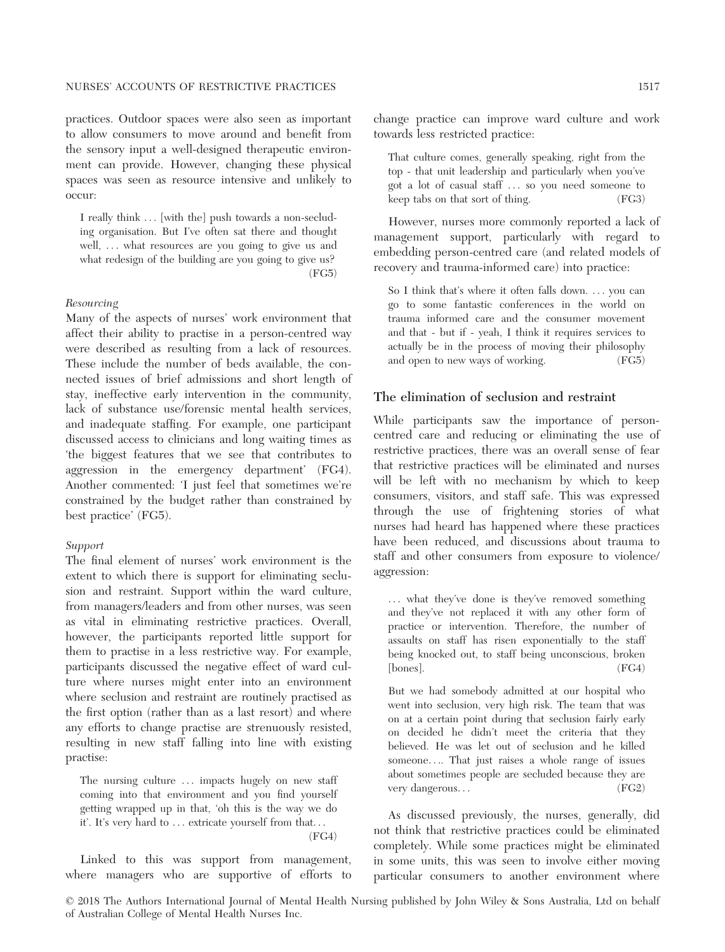#### NURSES' ACCOUNTS OF RESTRICTIVE PRACTICES 1517

practices. Outdoor spaces were also seen as important to allow consumers to move around and benefit from the sensory input a well-designed therapeutic environment can provide. However, changing these physical spaces was seen as resource intensive and unlikely to occur:

I really think ... [with the] push towards a non-secluding organisation. But I've often sat there and thought well, ... what resources are you going to give us and what redesign of the building are you going to give us?  $(FG5)$ 

### Resourcing

Many of the aspects of nurses' work environment that affect their ability to practise in a person-centred way were described as resulting from a lack of resources. These include the number of beds available, the connected issues of brief admissions and short length of stay, ineffective early intervention in the community, lack of substance use/forensic mental health services, and inadequate staffing. For example, one participant discussed access to clinicians and long waiting times as 'the biggest features that we see that contributes to aggression in the emergency department' (FG4). Another commented: 'I just feel that sometimes we're constrained by the budget rather than constrained by best practice' (FG5).

#### Support

The final element of nurses' work environment is the extent to which there is support for eliminating seclusion and restraint. Support within the ward culture, from managers/leaders and from other nurses, was seen as vital in eliminating restrictive practices. Overall, however, the participants reported little support for them to practise in a less restrictive way. For example, participants discussed the negative effect of ward culture where nurses might enter into an environment where seclusion and restraint are routinely practised as the first option (rather than as a last resort) and where any efforts to change practise are strenuously resisted, resulting in new staff falling into line with existing practise:

The nursing culture ... impacts hugely on new staff coming into that environment and you find yourself getting wrapped up in that, 'oh this is the way we do it'. It's very hard to ... extricate yourself from that...  $(FG4)$ 

Linked to this was support from management, where managers who are supportive of efforts to change practice can improve ward culture and work towards less restricted practice:

That culture comes, generally speaking, right from the top - that unit leadership and particularly when you've got a lot of casual staff ... so you need someone to keep tabs on that sort of thing. (FG3)

However, nurses more commonly reported a lack of management support, particularly with regard to embedding person-centred care (and related models of recovery and trauma-informed care) into practice:

So I think that's where it often falls down. ... you can go to some fantastic conferences in the world on trauma informed care and the consumer movement and that - but if - yeah, I think it requires services to actually be in the process of moving their philosophy and open to new ways of working. (FG5)

# The elimination of seclusion and restraint

While participants saw the importance of personcentred care and reducing or eliminating the use of restrictive practices, there was an overall sense of fear that restrictive practices will be eliminated and nurses will be left with no mechanism by which to keep consumers, visitors, and staff safe. This was expressed through the use of frightening stories of what nurses had heard has happened where these practices have been reduced, and discussions about trauma to staff and other consumers from exposure to violence/ aggression:

... what they've done is they've removed something and they've not replaced it with any other form of practice or intervention. Therefore, the number of assaults on staff has risen exponentially to the staff being knocked out, to staff being unconscious, broken  $[$ bones].  $(FG4)$ 

But we had somebody admitted at our hospital who went into seclusion, very high risk. The team that was on at a certain point during that seclusion fairly early on decided he didn't meet the criteria that they believed. He was let out of seclusion and he killed someone.... That just raises a whole range of issues about sometimes people are secluded because they are very dangerous... (FG2)

As discussed previously, the nurses, generally, did not think that restrictive practices could be eliminated completely. While some practices might be eliminated in some units, this was seen to involve either moving particular consumers to another environment where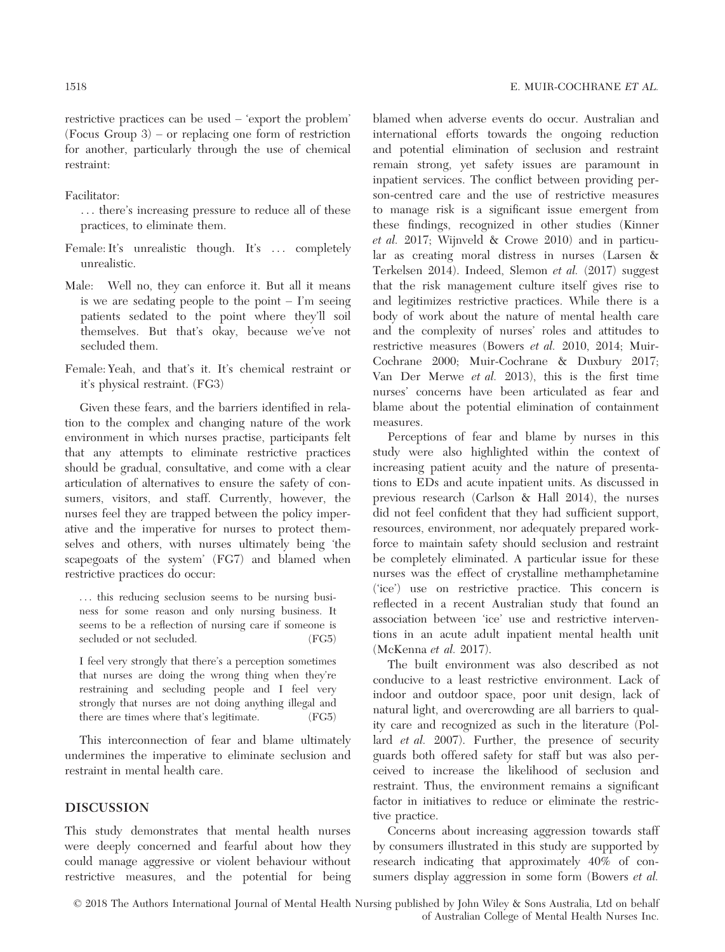1518 E. MUIR-COCHRANE ET AL.

restrictive practices can be used – 'export the problem' (Focus Group 3) – or replacing one form of restriction for another, particularly through the use of chemical restraint:

Facilitator:

... there's increasing pressure to reduce all of these practices, to eliminate them.

- Female: It's unrealistic though. It's ... completely unrealistic.
- Male: Well no, they can enforce it. But all it means is we are sedating people to the point – I'm seeing patients sedated to the point where they'll soil themselves. But that's okay, because we've not secluded them.
- Female: Yeah, and that's it. It's chemical restraint or it's physical restraint. (FG3)

Given these fears, and the barriers identified in relation to the complex and changing nature of the work environment in which nurses practise, participants felt that any attempts to eliminate restrictive practices should be gradual, consultative, and come with a clear articulation of alternatives to ensure the safety of consumers, visitors, and staff. Currently, however, the nurses feel they are trapped between the policy imperative and the imperative for nurses to protect themselves and others, with nurses ultimately being 'the scapegoats of the system' (FG7) and blamed when restrictive practices do occur:

... this reducing seclusion seems to be nursing business for some reason and only nursing business. It seems to be a reflection of nursing care if someone is secluded or not secluded. (FG5)

I feel very strongly that there's a perception sometimes that nurses are doing the wrong thing when they're restraining and secluding people and I feel very strongly that nurses are not doing anything illegal and there are times where that's legitimate. (FG5)

This interconnection of fear and blame ultimately undermines the imperative to eliminate seclusion and restraint in mental health care.

# DISCUSSION

This study demonstrates that mental health nurses were deeply concerned and fearful about how they could manage aggressive or violent behaviour without restrictive measures, and the potential for being blamed when adverse events do occur. Australian and international efforts towards the ongoing reduction and potential elimination of seclusion and restraint remain strong, yet safety issues are paramount in inpatient services. The conflict between providing person-centred care and the use of restrictive measures to manage risk is a significant issue emergent from these findings, recognized in other studies (Kinner et al. 2017; Wijnveld & Crowe 2010) and in particular as creating moral distress in nurses (Larsen & Terkelsen 2014). Indeed, Slemon et al. (2017) suggest that the risk management culture itself gives rise to and legitimizes restrictive practices. While there is a body of work about the nature of mental health care and the complexity of nurses' roles and attitudes to restrictive measures (Bowers et al. 2010, 2014; Muir-Cochrane 2000; Muir-Cochrane & Duxbury 2017; Van Der Merwe et al. 2013), this is the first time nurses' concerns have been articulated as fear and blame about the potential elimination of containment measures.

Perceptions of fear and blame by nurses in this study were also highlighted within the context of increasing patient acuity and the nature of presentations to EDs and acute inpatient units. As discussed in previous research (Carlson & Hall 2014), the nurses did not feel confident that they had sufficient support, resources, environment, nor adequately prepared workforce to maintain safety should seclusion and restraint be completely eliminated. A particular issue for these nurses was the effect of crystalline methamphetamine ('ice') use on restrictive practice. This concern is reflected in a recent Australian study that found an association between 'ice' use and restrictive interventions in an acute adult inpatient mental health unit (McKenna et al. 2017).

The built environment was also described as not conducive to a least restrictive environment. Lack of indoor and outdoor space, poor unit design, lack of natural light, and overcrowding are all barriers to quality care and recognized as such in the literature (Pollard et al. 2007). Further, the presence of security guards both offered safety for staff but was also perceived to increase the likelihood of seclusion and restraint. Thus, the environment remains a significant factor in initiatives to reduce or eliminate the restrictive practice.

Concerns about increasing aggression towards staff by consumers illustrated in this study are supported by research indicating that approximately 40% of consumers display aggression in some form (Bowers et al.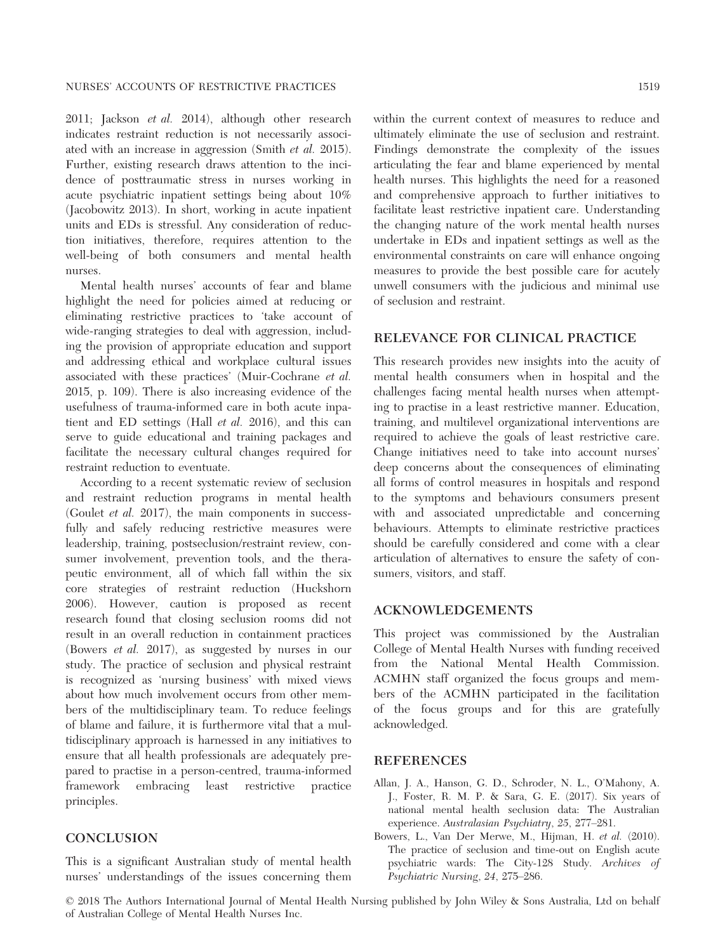2011; Jackson et al. 2014), although other research indicates restraint reduction is not necessarily associated with an increase in aggression (Smith et al. 2015). Further, existing research draws attention to the incidence of posttraumatic stress in nurses working in acute psychiatric inpatient settings being about 10% (Jacobowitz 2013). In short, working in acute inpatient units and EDs is stressful. Any consideration of reduction initiatives, therefore, requires attention to the well-being of both consumers and mental health nurses.

Mental health nurses' accounts of fear and blame highlight the need for policies aimed at reducing or eliminating restrictive practices to 'take account of wide-ranging strategies to deal with aggression, including the provision of appropriate education and support and addressing ethical and workplace cultural issues associated with these practices' (Muir-Cochrane et al. 2015, p. 109). There is also increasing evidence of the usefulness of trauma-informed care in both acute inpatient and ED settings (Hall et al. 2016), and this can serve to guide educational and training packages and facilitate the necessary cultural changes required for restraint reduction to eventuate.

According to a recent systematic review of seclusion and restraint reduction programs in mental health (Goulet et al. 2017), the main components in successfully and safely reducing restrictive measures were leadership, training, postseclusion/restraint review, consumer involvement, prevention tools, and the therapeutic environment, all of which fall within the six core strategies of restraint reduction (Huckshorn 2006). However, caution is proposed as recent research found that closing seclusion rooms did not result in an overall reduction in containment practices (Bowers et al. 2017), as suggested by nurses in our study. The practice of seclusion and physical restraint is recognized as 'nursing business' with mixed views about how much involvement occurs from other members of the multidisciplinary team. To reduce feelings of blame and failure, it is furthermore vital that a multidisciplinary approach is harnessed in any initiatives to ensure that all health professionals are adequately prepared to practise in a person-centred, trauma-informed framework embracing least restrictive practice principles.

# **CONCLUSION**

This is a significant Australian study of mental health nurses' understandings of the issues concerning them

within the current context of measures to reduce and ultimately eliminate the use of seclusion and restraint. Findings demonstrate the complexity of the issues articulating the fear and blame experienced by mental health nurses. This highlights the need for a reasoned and comprehensive approach to further initiatives to facilitate least restrictive inpatient care. Understanding the changing nature of the work mental health nurses undertake in EDs and inpatient settings as well as the environmental constraints on care will enhance ongoing measures to provide the best possible care for acutely unwell consumers with the judicious and minimal use of seclusion and restraint.

# RELEVANCE FOR CLINICAL PRACTICE

This research provides new insights into the acuity of mental health consumers when in hospital and the challenges facing mental health nurses when attempting to practise in a least restrictive manner. Education, training, and multilevel organizational interventions are required to achieve the goals of least restrictive care. Change initiatives need to take into account nurses' deep concerns about the consequences of eliminating all forms of control measures in hospitals and respond to the symptoms and behaviours consumers present with and associated unpredictable and concerning behaviours. Attempts to eliminate restrictive practices should be carefully considered and come with a clear articulation of alternatives to ensure the safety of consumers, visitors, and staff.

# ACKNOWLEDGEMENTS

This project was commissioned by the Australian College of Mental Health Nurses with funding received from the National Mental Health Commission. ACMHN staff organized the focus groups and members of the ACMHN participated in the facilitation of the focus groups and for this are gratefully acknowledged.

### **REFERENCES**

- Allan, J. A., Hanson, G. D., Schroder, N. L., O'Mahony, A. J., Foster, R. M. P. & Sara, G. E. (2017). Six years of national mental health seclusion data: The Australian experience. Australasian Psychiatry, 25, 277–281.
- Bowers, L., Van Der Merwe, M., Hijman, H. et al. (2010). The practice of seclusion and time-out on English acute psychiatric wards: The City-128 Study. Archives of Psychiatric Nursing, 24, 275–286.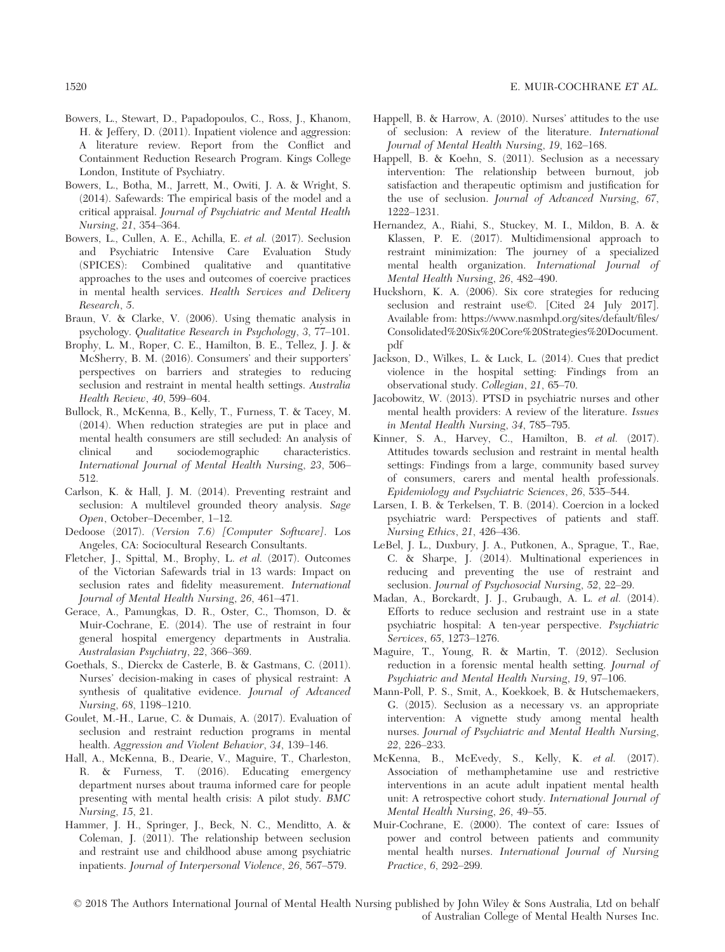- Bowers, L., Stewart, D., Papadopoulos, C., Ross, J., Khanom, H. & Jeffery, D. (2011). Inpatient violence and aggression: A literature review. Report from the Conflict and Containment Reduction Research Program. Kings College London, Institute of Psychiatry.
- Bowers, L., Botha, M., Jarrett, M., Owiti, J. A. & Wright, S. (2014). Safewards: The empirical basis of the model and a critical appraisal. Journal of Psychiatric and Mental Health Nursing, 21, 354–364.
- Bowers, L., Cullen, A. E., Achilla, E. et al. (2017). Seclusion and Psychiatric Intensive Care Evaluation Study (SPICES): Combined qualitative and quantitative approaches to the uses and outcomes of coercive practices in mental health services. Health Services and Delivery Research, 5.
- Braun, V. & Clarke, V. (2006). Using thematic analysis in psychology. Qualitative Research in Psychology, 3, 77–101.
- Brophy, L. M., Roper, C. E., Hamilton, B. E., Tellez, J. J. & McSherry, B. M. (2016). Consumers' and their supporters' perspectives on barriers and strategies to reducing seclusion and restraint in mental health settings. Australia Health Review, 40, 599–604.
- Bullock, R., McKenna, B., Kelly, T., Furness, T. & Tacey, M. (2014). When reduction strategies are put in place and mental health consumers are still secluded: An analysis of clinical and sociodemographic characteristics. International Journal of Mental Health Nursing, 23, 506– 512.
- Carlson, K. & Hall, J. M. (2014). Preventing restraint and seclusion: A multilevel grounded theory analysis. Sage Open, October–December, 1–12.
- Dedoose (2017). (Version 7.6) [Computer Software]. Los Angeles, CA: Sociocultural Research Consultants.
- Fletcher, J., Spittal, M., Brophy, L. et al. (2017). Outcomes of the Victorian Safewards trial in 13 wards: Impact on seclusion rates and fidelity measurement. International Journal of Mental Health Nursing, 26, 461–471.
- Gerace, A., Pamungkas, D. R., Oster, C., Thomson, D. & Muir-Cochrane, E. (2014). The use of restraint in four general hospital emergency departments in Australia. Australasian Psychiatry, 22, 366–369.
- Goethals, S., Dierckx de Casterle, B. & Gastmans, C. (2011). Nurses' decision-making in cases of physical restraint: A synthesis of qualitative evidence. Journal of Advanced Nursing, 68, 1198–1210.
- Goulet, M.-H., Larue, C. & Dumais, A. (2017). Evaluation of seclusion and restraint reduction programs in mental health. Aggression and Violent Behavior, 34, 139–146.
- Hall, A., McKenna, B., Dearie, V., Maguire, T., Charleston, R. & Furness, T. (2016). Educating emergency department nurses about trauma informed care for people presenting with mental health crisis: A pilot study. BMC Nursing, 15, 21.
- Hammer, J. H., Springer, J., Beck, N. C., Menditto, A. & Coleman, J. (2011). The relationship between seclusion and restraint use and childhood abuse among psychiatric inpatients. Journal of Interpersonal Violence, 26, 567–579.
- Happell, B. & Harrow, A. (2010). Nurses' attitudes to the use of seclusion: A review of the literature. International Journal of Mental Health Nursing, 19, 162–168.
- Happell, B. & Koehn, S. (2011). Seclusion as a necessary intervention: The relationship between burnout, job satisfaction and therapeutic optimism and justification for the use of seclusion. Journal of Advanced Nursing, 67, 1222–1231.
- Hernandez, A., Riahi, S., Stuckey, M. I., Mildon, B. A. & Klassen, P. E. (2017). Multidimensional approach to restraint minimization: The journey of a specialized mental health organization. International Journal of Mental Health Nursing, 26, 482–490.
- Huckshorn, K. A. (2006). Six core strategies for reducing seclusion and restraint use©. [Cited 24 July 2017]. Available from: [https://www.nasmhpd.org/sites/default/files/](https://www.nasmhpd.org/sites/default/files/Consolidated%20Six%20Core%20Strategies%20Document.pdf) [Consolidated%20Six%20Core%20Strategies%20Document.](https://www.nasmhpd.org/sites/default/files/Consolidated%20Six%20Core%20Strategies%20Document.pdf) [pdf](https://www.nasmhpd.org/sites/default/files/Consolidated%20Six%20Core%20Strategies%20Document.pdf)
- Jackson, D., Wilkes, L. & Luck, L. (2014). Cues that predict violence in the hospital setting: Findings from an observational study. Collegian, 21, 65–70.
- Jacobowitz, W. (2013). PTSD in psychiatric nurses and other mental health providers: A review of the literature. Issues in Mental Health Nursing, 34, 785–795.
- Kinner, S. A., Harvey, C., Hamilton, B. et al. (2017). Attitudes towards seclusion and restraint in mental health settings: Findings from a large, community based survey of consumers, carers and mental health professionals. Epidemiology and Psychiatric Sciences, 26, 535–544.
- Larsen, I. B. & Terkelsen, T. B. (2014). Coercion in a locked psychiatric ward: Perspectives of patients and staff. Nursing Ethics, 21, 426–436.
- LeBel, J. L., Duxbury, J. A., Putkonen, A., Sprague, T., Rae, C. & Sharpe, J. (2014). Multinational experiences in reducing and preventing the use of restraint and seclusion. Journal of Psychosocial Nursing, 52, 22–29.
- Madan, A., Borckardt, J. J., Grubaugh, A. L. et al. (2014). Efforts to reduce seclusion and restraint use in a state psychiatric hospital: A ten-year perspective. Psychiatric Services, 65, 1273–1276.
- Maguire, T., Young, R. & Martin, T. (2012). Seclusion reduction in a forensic mental health setting. Journal of Psychiatric and Mental Health Nursing, 19, 97–106.
- Mann-Poll, P. S., Smit, A., Koekkoek, B. & Hutschemaekers, G. (2015). Seclusion as a necessary vs. an appropriate intervention: A vignette study among mental health nurses. Journal of Psychiatric and Mental Health Nursing, 22, 226–233.
- McKenna, B., McEvedy, S., Kelly, K. et al. (2017). Association of methamphetamine use and restrictive interventions in an acute adult inpatient mental health unit: A retrospective cohort study. International Journal of Mental Health Nursing, 26, 49–55.
- Muir-Cochrane, E. (2000). The context of care: Issues of power and control between patients and community mental health nurses. International Journal of Nursing Practice, 6, 292–299.